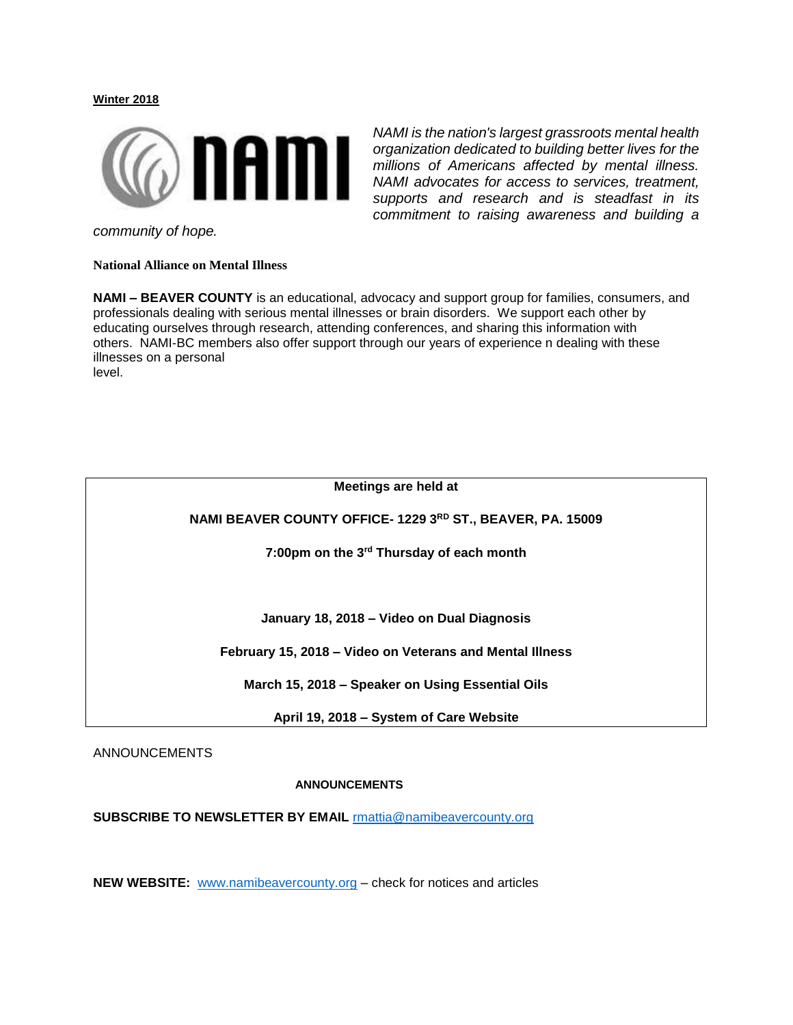## **Winter 2018**



*NAMI is the nation's largest grassroots mental health organization dedicated to building better lives for the millions of Americans affected by mental illness. NAMI advocates for access to services, treatment, supports and research and is steadfast in its commitment to raising awareness and building a* 

*community of hope.*

**National Alliance on Mental Illness**

**NAMI – BEAVER COUNTY** is an educational, advocacy and support group for families, consumers, and professionals dealing with serious mental illnesses or brain disorders. We support each other by educating ourselves through research, attending conferences, and sharing this information with others. NAMI-BC members also offer support through our years of experience n dealing with these illnesses on a personal level.

| Meetings are held at                                      |
|-----------------------------------------------------------|
| NAMI BEAVER COUNTY OFFICE-1229 3RD ST., BEAVER, PA. 15009 |
| 7:00pm on the 3rd Thursday of each month                  |
|                                                           |
| January 18, 2018 – Video on Dual Diagnosis                |
| February 15, 2018 – Video on Veterans and Mental Illness  |
| March 15, 2018 - Speaker on Using Essential Oils          |
| April 19, 2018 - System of Care Website                   |

## **ANNOUNCEMENTS**

**SUBSCRIBE TO NEWSLETTER BY EMAIL** [rmattia@namibeavercounty.org](mailto:rmattia@namibeavercounty.org)

**NEW WEBSITE:** [www.namibeavercounty.org](http://www.namibeavercounty.org/) – check for notices and articles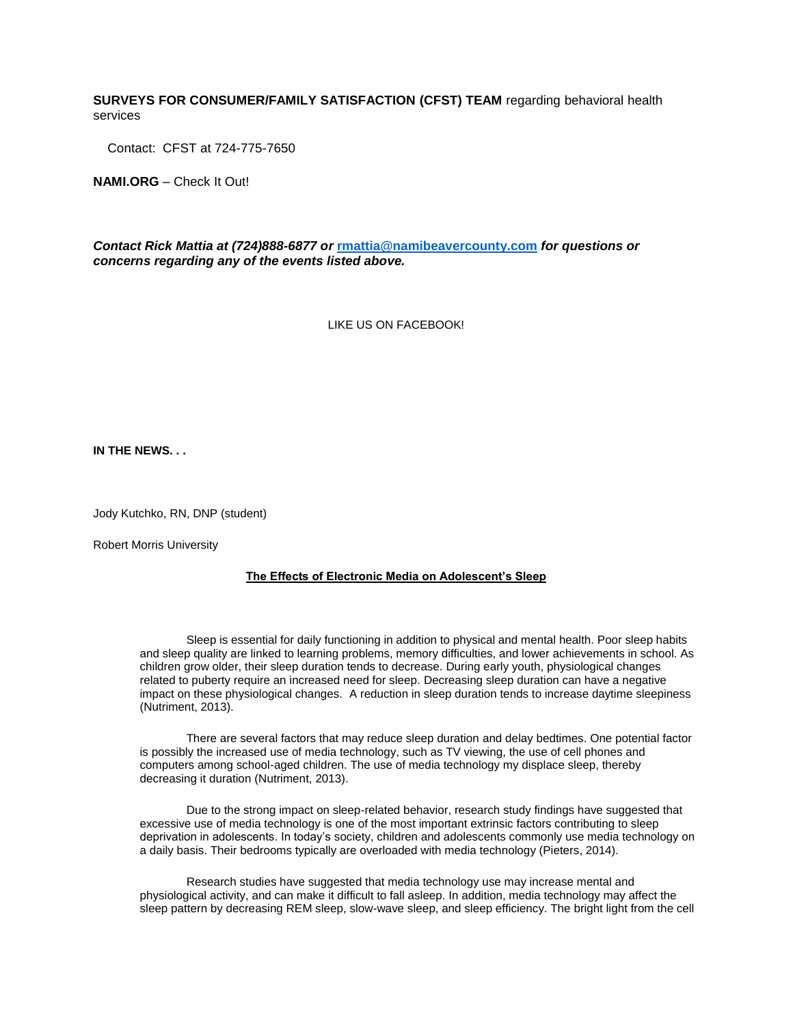## **SURVEYS FOR CONSUMER/FAMILY SATISFACTION (CFST) TEAM** regarding behavioral health services

Contact: CFST at 724-775-7650

**NAMI.ORG** – Check It Out!

*Contact Rick Mattia at (724)888-6877 or* **[rmattia@namibeavercounty.com](mailto:rmattia@namibeavercounty.com)** *for questions or concerns regarding any of the events listed above.*

LIKE US ON FACEBOOK!

**IN THE NEWS. . .**

Jody Kutchko, RN, DNP (student)

Robert Morris University

### **The Effects of Electronic Media on Adolescent's Sleep**

Sleep is essential for daily functioning in addition to physical and mental health. Poor sleep habits and sleep quality are linked to learning problems, memory difficulties, and lower achievements in school. As children grow older, their sleep duration tends to decrease. During early youth, physiological changes related to puberty require an increased need for sleep. Decreasing sleep duration can have a negative impact on these physiological changes. A reduction in sleep duration tends to increase daytime sleepiness (Nutriment, 2013).

There are several factors that may reduce sleep duration and delay bedtimes. One potential factor is possibly the increased use of media technology, such as TV viewing, the use of cell phones and computers among school-aged children. The use of media technology my displace sleep, thereby decreasing it duration (Nutriment, 2013).

Due to the strong impact on sleep-related behavior, research study findings have suggested that excessive use of media technology is one of the most important extrinsic factors contributing to sleep deprivation in adolescents. In today's society, children and adolescents commonly use media technology on a daily basis. Their bedrooms typically are overloaded with media technology (Pieters, 2014).

Research studies have suggested that media technology use may increase mental and physiological activity, and can make it difficult to fall asleep. In addition, media technology may affect the sleep pattern by decreasing REM sleep, slow-wave sleep, and sleep efficiency. The bright light from the cell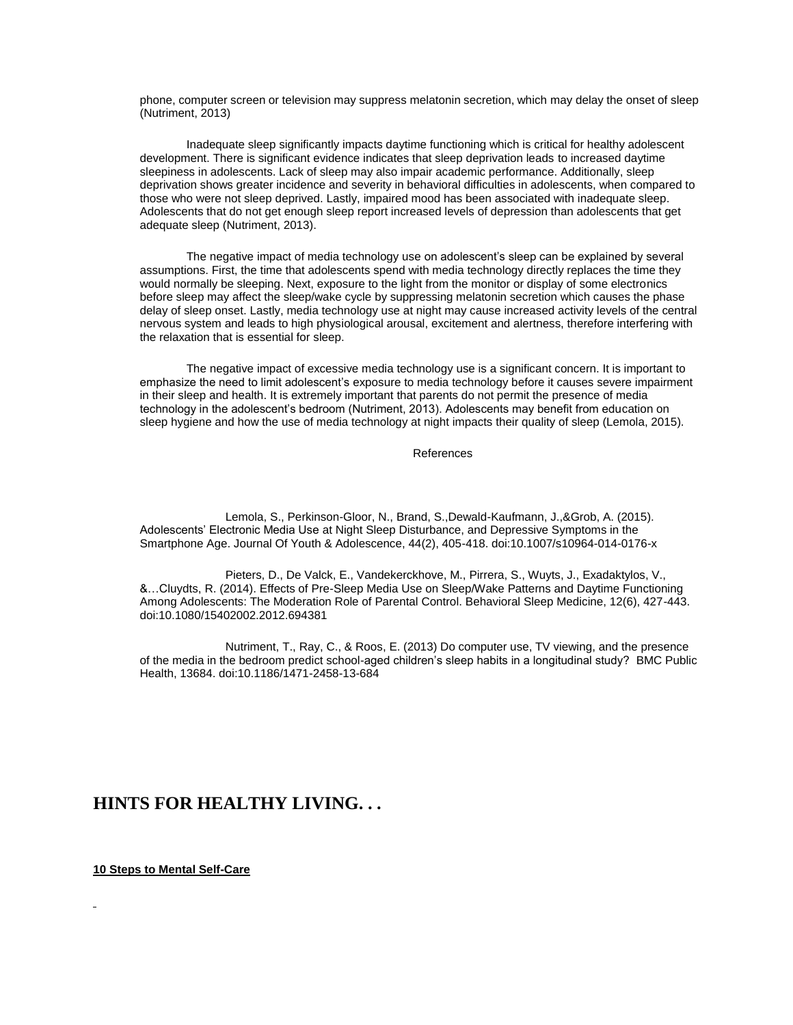phone, computer screen or television may suppress melatonin secretion, which may delay the onset of sleep (Nutriment, 2013)

Inadequate sleep significantly impacts daytime functioning which is critical for healthy adolescent development. There is significant evidence indicates that sleep deprivation leads to increased daytime sleepiness in adolescents. Lack of sleep may also impair academic performance. Additionally, sleep deprivation shows greater incidence and severity in behavioral difficulties in adolescents, when compared to those who were not sleep deprived. Lastly, impaired mood has been associated with inadequate sleep. Adolescents that do not get enough sleep report increased levels of depression than adolescents that get adequate sleep (Nutriment, 2013).

The negative impact of media technology use on adolescent's sleep can be explained by several assumptions. First, the time that adolescents spend with media technology directly replaces the time they would normally be sleeping. Next, exposure to the light from the monitor or display of some electronics before sleep may affect the sleep/wake cycle by suppressing melatonin secretion which causes the phase delay of sleep onset. Lastly, media technology use at night may cause increased activity levels of the central nervous system and leads to high physiological arousal, excitement and alertness, therefore interfering with the relaxation that is essential for sleep.

The negative impact of excessive media technology use is a significant concern. It is important to emphasize the need to limit adolescent's exposure to media technology before it causes severe impairment in their sleep and health. It is extremely important that parents do not permit the presence of media technology in the adolescent's bedroom (Nutriment, 2013). Adolescents may benefit from education on sleep hygiene and how the use of media technology at night impacts their quality of sleep (Lemola, 2015).

#### References

 Lemola, S., Perkinson-Gloor, N., Brand, S.,Dewald-Kaufmann, J.,&Grob, A. (2015). Adolescents' Electronic Media Use at Night Sleep Disturbance, and Depressive Symptoms in the Smartphone Age. Journal Of Youth & Adolescence, 44(2), 405-418. doi:10.1007/s10964-014-0176-x

 Pieters, D., De Valck, E., Vandekerckhove, M., Pirrera, S., Wuyts, J., Exadaktylos, V., &…Cluydts, R. (2014). Effects of Pre-Sleep Media Use on Sleep/Wake Patterns and Daytime Functioning Among Adolescents: The Moderation Role of Parental Control. Behavioral Sleep Medicine, 12(6), 427-443. doi:10.1080/15402002.2012.694381

 Nutriment, T., Ray, C., & Roos, E. (2013) Do computer use, TV viewing, and the presence of the media in the bedroom predict school-aged children's sleep habits in a longitudinal study? BMC Public Health, 13684. doi:10.1186/1471-2458-13-684

# **HINTS FOR HEALTHY LIVING. . .**

**10 Steps to Mental Self-Care**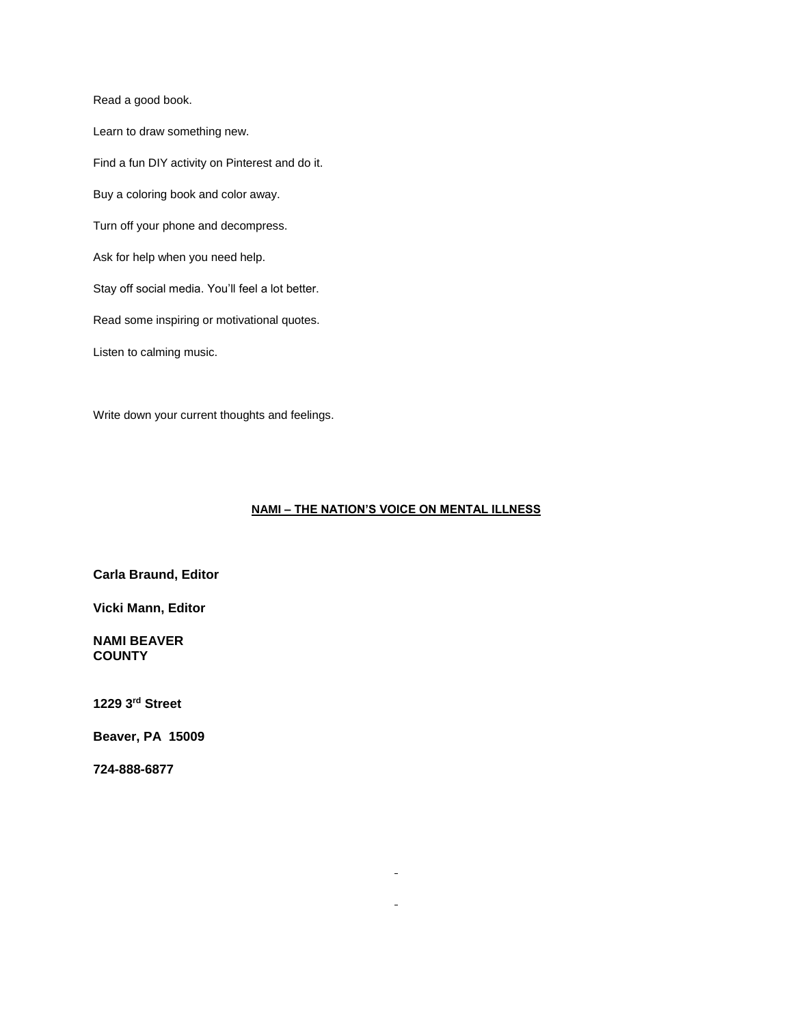Read a good book.

Learn to draw something new. Find a fun DIY activity on Pinterest and do it. Buy a coloring book and color away. Turn off your phone and decompress. Ask for help when you need help. Stay off social media. You'll feel a lot better. Read some inspiring or motivational quotes. Listen to calming music.

Write down your current thoughts and feelings.

## **NAMI – THE NATION'S VOICE ON MENTAL ILLNESS**

 $\blacksquare$ 

 $\mathbf{r}$ 

**Carla Braund, Editor**

**Vicki Mann, Editor**

## **NAMI BEAVER COUNTY**

**1229 3rd Street** 

**Beaver, PA 15009**

**724-888-6877**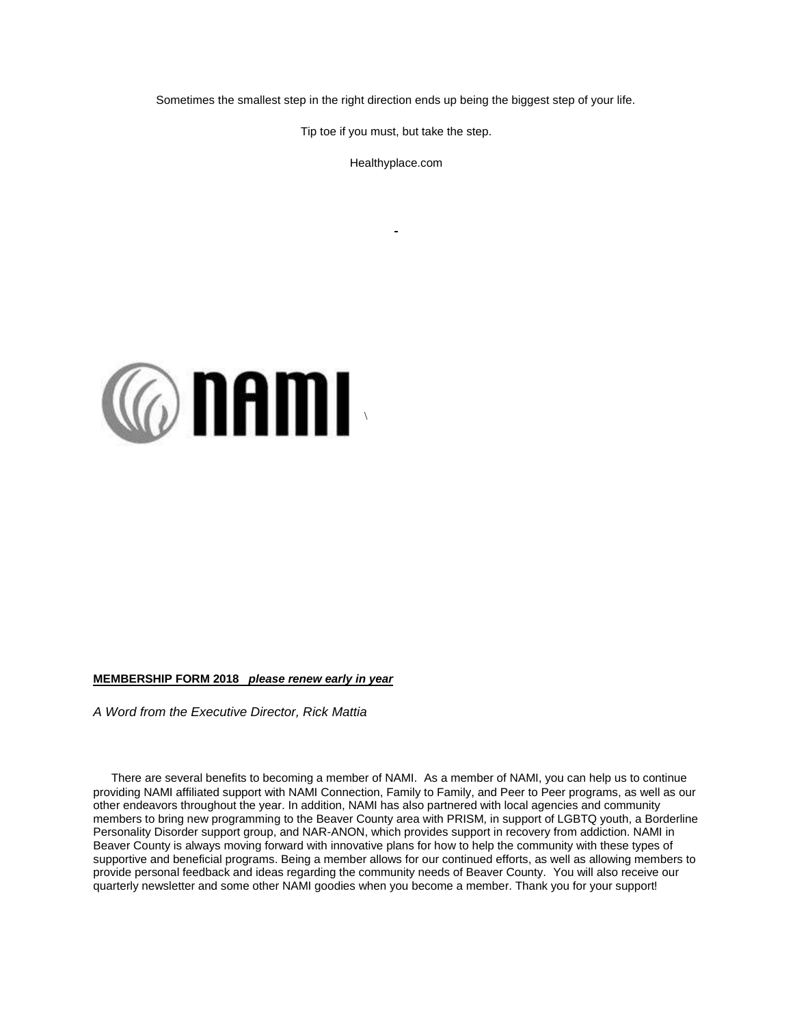Sometimes the smallest step in the right direction ends up being the biggest step of your life.

Tip toe if you must, but take the step.

Healthyplace.com



#### **MEMBERSHIP FORM 2018** *please renew early in year*

*A Word from the Executive Director, Rick Mattia*

There are several benefits to becoming a member of NAMI. As a member of NAMI, you can help us to continue providing NAMI affiliated support with NAMI Connection, Family to Family, and Peer to Peer programs, as well as our other endeavors throughout the year. In addition, NAMI has also partnered with local agencies and community members to bring new programming to the Beaver County area with PRISM, in support of LGBTQ youth, a Borderline Personality Disorder support group, and NAR-ANON, which provides support in recovery from addiction. NAMI in Beaver County is always moving forward with innovative plans for how to help the community with these types of supportive and beneficial programs. Being a member allows for our continued efforts, as well as allowing members to provide personal feedback and ideas regarding the community needs of Beaver County. You will also receive our quarterly newsletter and some other NAMI goodies when you become a member. Thank you for your support!